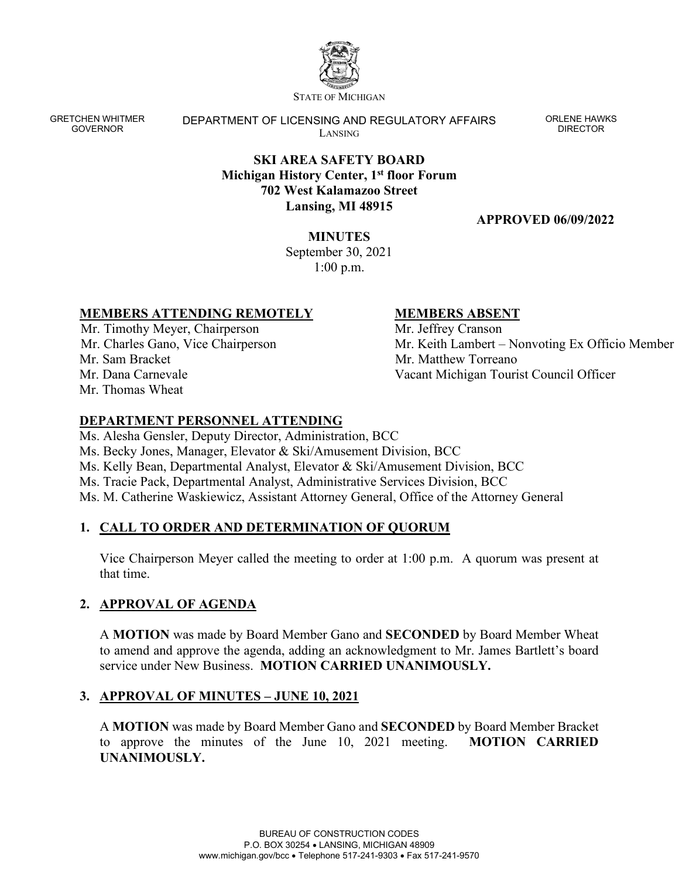

STATE OF MICHIGAN

GRETCHEN WHITMER GOVERNOR

DEPARTMENT OF LICENSING AND REGULATORY AFFAIRS LANSING

ORLENE HAWKS DIRECTOR

## **SKI AREA SAFETY BOARD Michigan History Center, 1st floor Forum 702 West Kalamazoo Street Lansing, MI 48915**

## **APPROVED 06/09/2022**

## **MINUTES**

September 30, 2021 1:00 p.m.

## **MEMBERS ATTENDING REMOTELY**

Mr. Timothy Meyer, Chairperson Mr. Charles Gano, Vice Chairperson Mr. Sam Bracket Mr. Dana Carnevale Mr. Thomas Wheat

## **MEMBERS ABSENT**

Mr. Jeffrey Cranson Mr. Keith Lambert – Nonvoting Ex Officio Member Mr. Matthew Torreano Vacant Michigan Tourist Council Officer

# **DEPARTMENT PERSONNEL ATTENDING**

Ms. Alesha Gensler, Deputy Director, Administration, BCC

Ms. Becky Jones, Manager, Elevator & Ski/Amusement Division, BCC

Ms. Kelly Bean, Departmental Analyst, Elevator & Ski/Amusement Division, BCC

Ms. Tracie Pack, Departmental Analyst, Administrative Services Division, BCC

Ms. M. Catherine Waskiewicz, Assistant Attorney General, Office of the Attorney General

# **1. CALL TO ORDER AND DETERMINATION OF QUORUM**

Vice Chairperson Meyer called the meeting to order at 1:00 p.m. A quorum was present at that time.

# **2. APPROVAL OF AGENDA**

A **MOTION** was made by Board Member Gano and **SECONDED** by Board Member Wheat to amend and approve the agenda, adding an acknowledgment to Mr. James Bartlett's board service under New Business. **MOTION CARRIED UNANIMOUSLY.**

# **3. APPROVAL OF MINUTES – JUNE 10, 2021**

A **MOTION** was made by Board Member Gano and **SECONDED** by Board Member Bracket to approve the minutes of the June 10, 2021 meeting. **MOTION CARRIED UNANIMOUSLY.**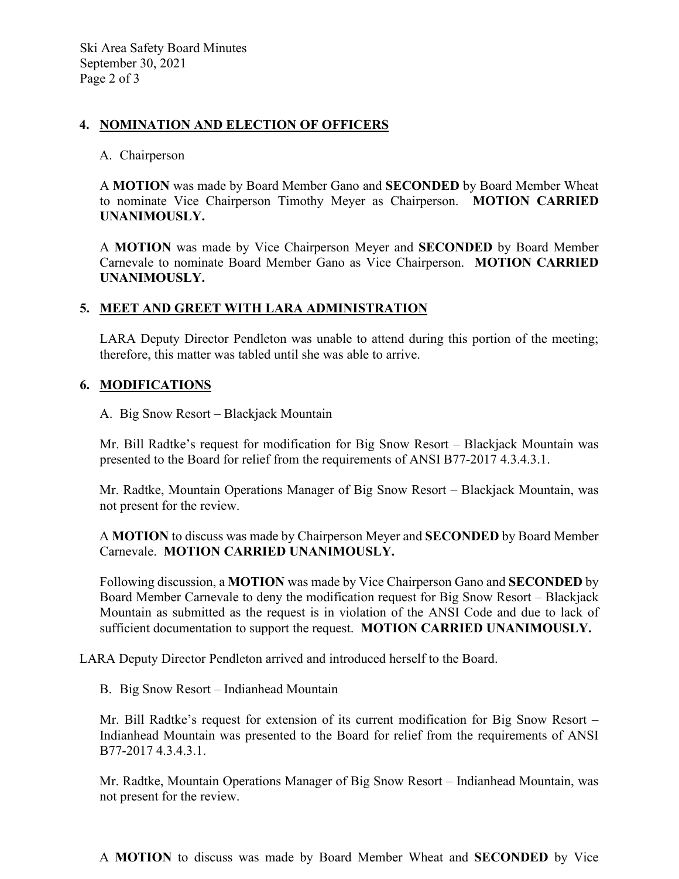### **4. NOMINATION AND ELECTION OF OFFICERS**

#### A. Chairperson

A **MOTION** was made by Board Member Gano and **SECONDED** by Board Member Wheat to nominate Vice Chairperson Timothy Meyer as Chairperson. **MOTION CARRIED UNANIMOUSLY.**

A **MOTION** was made by Vice Chairperson Meyer and **SECONDED** by Board Member Carnevale to nominate Board Member Gano as Vice Chairperson. **MOTION CARRIED UNANIMOUSLY.**

### **5. MEET AND GREET WITH LARA ADMINISTRATION**

LARA Deputy Director Pendleton was unable to attend during this portion of the meeting; therefore, this matter was tabled until she was able to arrive.

### **6. MODIFICATIONS**

A. Big Snow Resort – Blackjack Mountain

Mr. Bill Radtke's request for modification for Big Snow Resort – Blackjack Mountain was presented to the Board for relief from the requirements of ANSI B77-2017 4.3.4.3.1.

Mr. Radtke, Mountain Operations Manager of Big Snow Resort – Blackjack Mountain, was not present for the review.

A **MOTION** to discuss was made by Chairperson Meyer and **SECONDED** by Board Member Carnevale. **MOTION CARRIED UNANIMOUSLY.**

Following discussion, a **MOTION** was made by Vice Chairperson Gano and **SECONDED** by Board Member Carnevale to deny the modification request for Big Snow Resort – Blackjack Mountain as submitted as the request is in violation of the ANSI Code and due to lack of sufficient documentation to support the request. **MOTION CARRIED UNANIMOUSLY.**

LARA Deputy Director Pendleton arrived and introduced herself to the Board.

B. Big Snow Resort – Indianhead Mountain

Mr. Bill Radtke's request for extension of its current modification for Big Snow Resort – Indianhead Mountain was presented to the Board for relief from the requirements of ANSI B77-2017 4.3.4.3.1.

Mr. Radtke, Mountain Operations Manager of Big Snow Resort – Indianhead Mountain, was not present for the review.

A **MOTION** to discuss was made by Board Member Wheat and **SECONDED** by Vice